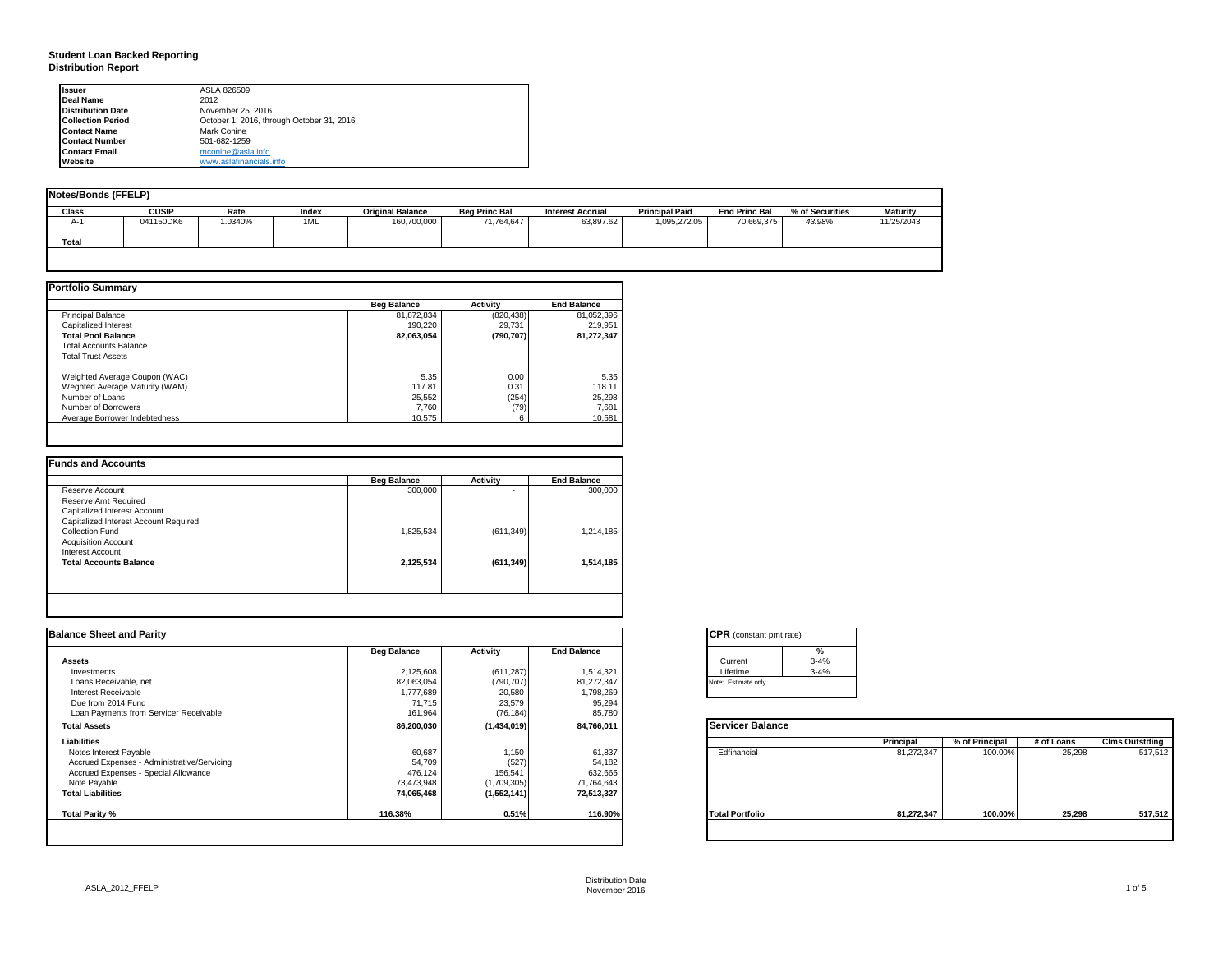#### **Student Loan Backed Reporting Distribution Report**

| <b>Issuer</b>            | ASLA 826509                               |  |
|--------------------------|-------------------------------------------|--|
| <b>Deal Name</b>         | 2012                                      |  |
| <b>Distribution Date</b> | November 25, 2016                         |  |
| <b>Collection Period</b> | October 1, 2016, through October 31, 2016 |  |
| <b>Contact Name</b>      | Mark Conine                               |  |
| <b>Contact Number</b>    | 501-682-1259                              |  |
| <b>Contact Email</b>     | mconine@asla.info                         |  |
| Website                  | www.aslafinancials.info                   |  |

| Notes/Bonds (FFELP) |              |         |       |                         |                      |                         |                       |                      |                 |            |
|---------------------|--------------|---------|-------|-------------------------|----------------------|-------------------------|-----------------------|----------------------|-----------------|------------|
| <b>Class</b>        | <b>CUSIP</b> | Rate    | Index | <b>Original Balance</b> | <b>Beg Princ Bal</b> | <b>Interest Accrual</b> | <b>Principal Paid</b> | <b>End Princ Bal</b> | % of Securities | Maturity   |
| $A-$                | 041150DK6    | 1.0340% | 1ML   | 160,700,000             | 71,764,647           | 63,897.62               | 1,095,272.05          | 70,669,375           | 43.98%          | 11/25/2043 |
| <b>Total</b>        |              |         |       |                         |                      |                         |                       |                      |                 |            |
|                     |              |         |       |                         |                      |                         |                       |                      |                 |            |

|                                | <b>Beg Balance</b> | <b>Activity</b> | <b>End Balance</b> |
|--------------------------------|--------------------|-----------------|--------------------|
| <b>Principal Balance</b>       | 81,872,834         | (820, 438)      | 81,052,396         |
| Capitalized Interest           | 190.220            | 29.731          | 219.951            |
| <b>Total Pool Balance</b>      | 82,063,054         | (790, 707)      | 81,272,347         |
| <b>Total Accounts Balance</b>  |                    |                 |                    |
| <b>Total Trust Assets</b>      |                    |                 |                    |
| Weighted Average Coupon (WAC)  | 5.35               | 0.00            | 5.35               |
| Weghted Average Maturity (WAM) | 117.81             | 0.31            | 118.11             |
| Number of Loans                | 25,552             | (254)           | 25,298             |
| Number of Borrowers            | 7.760              | (79)            | 7,681              |
| Average Borrower Indebtedness  | 10.575             | 6               | 10,581             |

| ۰          | 300,000   |
|------------|-----------|
|            |           |
|            |           |
|            |           |
|            |           |
| (611, 349) | 1,214,185 |
|            |           |
|            |           |
| (611, 349) | 1,514,185 |
|            |           |
|            |           |

| <b>Balance Sheet and Parity</b>             |                    |             |                    | <b>CPR</b> (constant pmt rate) |            |                |            |                       |
|---------------------------------------------|--------------------|-------------|--------------------|--------------------------------|------------|----------------|------------|-----------------------|
|                                             | <b>Beg Balance</b> | Activity    | <b>End Balance</b> | %                              |            |                |            |                       |
| Assets                                      |                    |             |                    | $3 - 4%$<br>Current            |            |                |            |                       |
| Investments                                 | 2,125,608          | (611, 287)  | 1,514,321          | $3 - 4%$<br>Lifetime           |            |                |            |                       |
| Loans Receivable, net                       | 82,063,054         | (790, 707)  | 81,272,347         | Note: Estimate only            |            |                |            |                       |
| Interest Receivable                         | 1,777,689          | 20,580      | 1,798,269          |                                |            |                |            |                       |
| Due from 2014 Fund                          | 71,715             | 23,579      | 95,294             |                                |            |                |            |                       |
| Loan Payments from Servicer Receivable      | 161,964            | (76, 184)   | 85,780             |                                |            |                |            |                       |
| <b>Total Assets</b>                         | 86,200,030         | (1,434,019) | 84,766,011         | <b>Servicer Balance</b>        |            |                |            |                       |
| Liabilities                                 |                    |             |                    |                                | Principal  | % of Principal | # of Loans | <b>Clms Outstding</b> |
| Notes Interest Payable                      | 60,687             | 1,150       | 61,837             | Edfinancial                    | 81,272,347 | 100.00%        | 25,298     | 517,512               |
| Accrued Expenses - Administrative/Servicing | 54,709             | (527)       | 54,182             |                                |            |                |            |                       |
| Accrued Expenses - Special Allowance        | 476,124            | 156,541     | 632,665            |                                |            |                |            |                       |
| Note Payable                                | 73,473,948         | (1,709,305) | 71,764,643         |                                |            |                |            |                       |
| <b>Total Liabilities</b>                    | 74,065,468         | (1,552,141) | 72,513,327         |                                |            |                |            |                       |
| Total Parity %                              | 116.38%            | 0.51%       | 116.90%            | <b>Total Portfolio</b>         | 81,272,347 | 100.00%        | 25,298     | 517,512               |
|                                             |                    |             |                    |                                |            |                |            |                       |

| <b>CPR</b> (constant pmt rate) |          |
|--------------------------------|----------|
|                                | %        |
| Current                        | $3 - 4%$ |
| Lifetime                       | $3 - 4%$ |
| Note: Estimate only            |          |

|                        | Principal  | % of Principal | # of Loans | <b>Clms Outstding</b> |
|------------------------|------------|----------------|------------|-----------------------|
| Edfinancial            | 81,272,347 | 100.00%        | 25,298     | 517,512               |
| <b>Total Portfolio</b> | 81,272,347 | 100.00%        | 25,298     | 517,512               |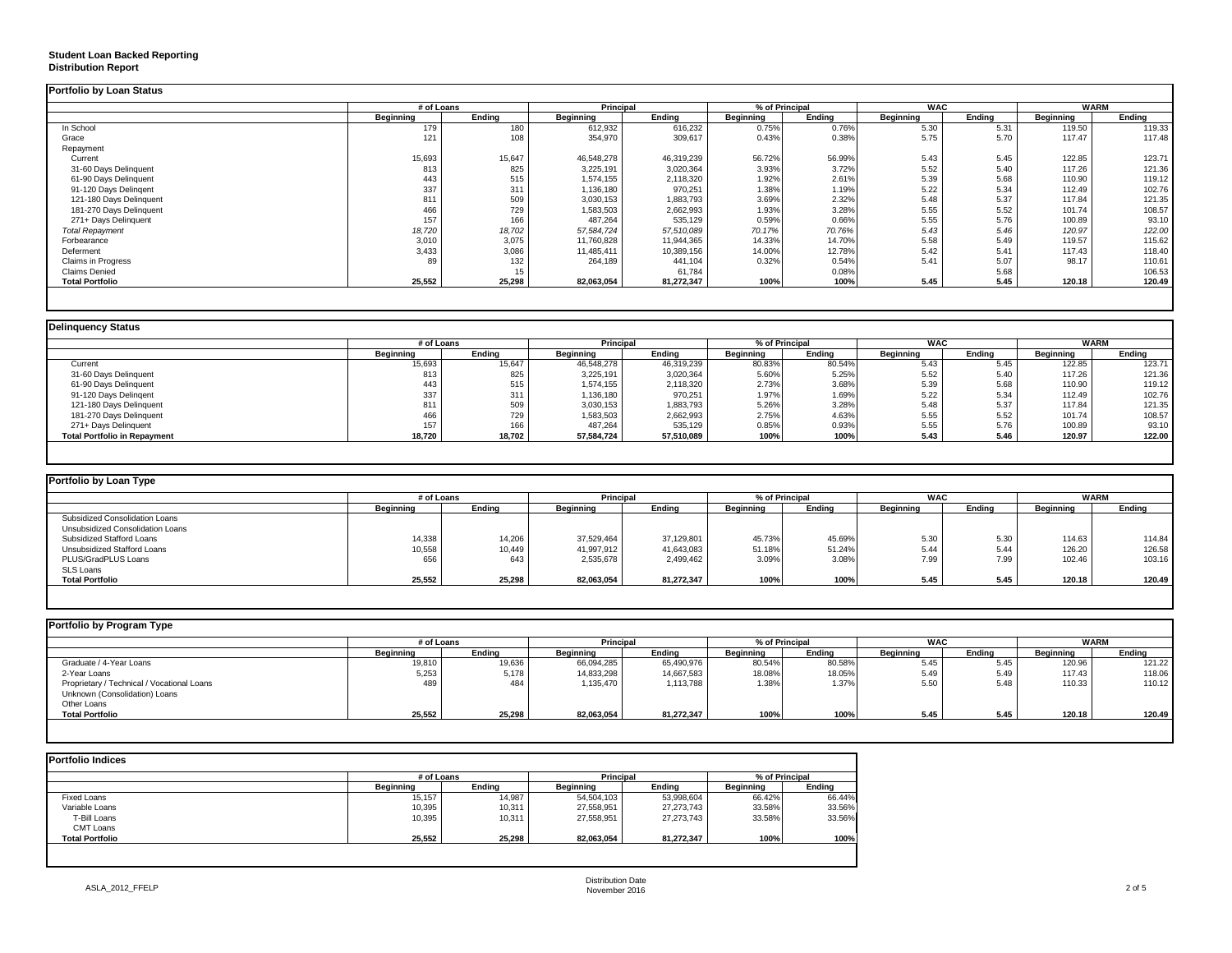### **Student Loan Backed Reporting Distribution Report**

|                           | # of Loans       |        | Principal        |            | % of Principal   |        | <b>WAC</b> |        | <b>WARM</b>      |        |
|---------------------------|------------------|--------|------------------|------------|------------------|--------|------------|--------|------------------|--------|
|                           | <b>Beginning</b> | Endina | <b>Beginning</b> | Ending     | <b>Beginning</b> | Endina | Beginning  | Endina | <b>Beginning</b> | Endina |
| In School                 | 179              | 180    | 612,932          | 616,232    | 0.75%            | 0.76%  | 5.30       | 5.31   | 119.50           | 119.33 |
| Grace                     | 121              | 108    | 354,970          | 309,617    | 0.43%            | 0.38%  | 5.75       | 5.70   | 117.47           | 117.48 |
| Repayment                 |                  |        |                  |            |                  |        |            |        |                  |        |
| Current                   | 15,693           | 15,647 | 46,548,278       | 46,319,239 | 56.72%           | 56.99% | 5.43       | 5.45   | 122.85           | 123.71 |
| 31-60 Days Delinquent     | 813              | 825    | 3,225,191        | 3,020,364  | 3.93%            | 3.72%  | 5.52       | 5.40   | 117.26           | 121.36 |
| 61-90 Days Delinquent     | 443              | 515    | 1,574,155        | 2,118,320  | 1.92%            | 2.61%  | 5.39       | 5.68   | 110.90           | 119.12 |
| 91-120 Days Delingent     | 337              | 311    | 1,136,180        | 970,251    | 1.38%            | 1.19%  | 5.22       | 5.34   | 112.49           | 102.76 |
| 121-180 Days Delinquent   | 811              | 509    | 3,030,153        | 1,883,793  | 3.69%            | 2.32%  | 5.48       | 5.37   | 117.84           | 121.35 |
| 181-270 Days Delinquent   | 466              | 729    | 1,583,503        | 2,662,993  | 1.93%            | 3.28%  | 5.55       | 5.52   | 101.74           | 108.57 |
| 271+ Days Delinquent      | 157              | 166    | 487,264          | 535,129    | 0.59%            | 0.66%  | 5.55       | 5.76   | 100.89           | 93.10  |
| <b>Total Repayment</b>    | 18,720           | 18,702 | 57,584,724       | 57,510,089 | 70.17%           | 70.76% | 5.43       | 5.46   | 120.97           | 122.00 |
| Forbearance               | 3,010            | 3,075  | 11,760,828       | 11.944.365 | 14.33%           | 14.70% | 5.58       | 5.49   | 119.57           | 115.62 |
| Deferment                 | 3,433            | 3,086  | 11,485,411       | 10,389,156 | 14.00%           | 12.78% | 5.42       | 5.41   | 117.43           | 118.40 |
| <b>Claims in Progress</b> | 89               | 132    | 264,189          | 441,104    | 0.32%            | 0.54%  | 5.41       | 5.07   | 98.17            | 110.61 |
| <b>Claims Denied</b>      |                  |        |                  | 61,784     |                  | 0.08%  |            | 5.68   |                  | 106.53 |
| <b>Total Portfolio</b>    | 25,552           | 25,298 | 82,063,054       | 81,272,347 | 100%             | 100%   | 5.45       | 5.45   | 120.18           | 120.49 |

|                                     |           | # of Loans |            | <b>Principal</b> | % of Principal   |        | <b>WAC</b> |        | <b>WARM</b> |        |
|-------------------------------------|-----------|------------|------------|------------------|------------------|--------|------------|--------|-------------|--------|
|                                     | Beginning | Endina     | Beginning  | Endina           | <b>Beainning</b> | Endina | Beginning  | Endina | Beainnina   | Endina |
| Current                             | 15,693    | 15,647     | 46,548,278 | 46,319,239       | 80.83%           | 80.54% | 5.43       | 5.45   | 122.85      | 123.71 |
| 31-60 Days Delinquent               | 813       | 825        | 3,225,191  | 3,020,364        | 5.60%            | 5.25%  | 5.52       | 5.40   | 117.26      | 121.36 |
| 61-90 Days Delinquent               | 443       | 515        | 1,574,155  | 2,118,320        | 2.73%            | 3.68%  | 5.39       | 5.68   | 110.90      | 119.12 |
| 91-120 Days Delingent               | 337       | 311        | 1,136,180  | 970,251          | 1.97%            | 1.69%  | 5.22       | 5.34   | 112.49      | 102.76 |
| 121-180 Days Delinquent             | 811       | 509        | 3,030,153  | 1,883,793        | 5.26%            | 3.28%  | 5.48       | 5.37   | 117.84      | 121.35 |
| 181-270 Days Delinquent             | 466       | 729        | 1,583,503  | 2,662,993        | 2.75%            | 4.63%  | 5.55       | 5.52   | 101.74      | 108.57 |
| 271+ Days Delinquent                | 157       | 166        | 487,264    | 535,129          | 0.85%            | 0.93%  | 5.55       | 5.76   | 100.89      | 93.10  |
| <b>Total Portfolio in Repayment</b> | 18,720    | 18,702     | 57,584,724 | 57,510,089       | 100%             | 100%   | 5.43       | 5.46   | 120.97      | 122.00 |

| Portfolio by Loan Type           |                  |        |            |            |                |        |            |        |             |        |
|----------------------------------|------------------|--------|------------|------------|----------------|--------|------------|--------|-------------|--------|
|                                  | # of Loans       |        | Principal  |            | % of Principal |        | <b>WAC</b> |        | <b>WARM</b> |        |
|                                  | <b>Beginning</b> | Ending | Beginning  | Ending     | Beginning      | Ending | Beginning  | Ending | Beginning   | Ending |
| Subsidized Consolidation Loans   |                  |        |            |            |                |        |            |        |             |        |
| Unsubsidized Consolidation Loans |                  |        |            |            |                |        |            |        |             |        |
| Subsidized Stafford Loans        | 14,338           | 14,206 | 37,529,464 | 37,129,801 | 45.73%         | 45.69% | 5.30       | 5.30   | 114.63      | 114.84 |
| Unsubsidized Stafford Loans      | 10,558           | 10,449 | 41,997,912 | 41,643,083 | 51.18%         | 51.24% | 5.44       | 5.44   | 126.20      | 126.58 |
| PLUS/GradPLUS Loans              | 656              | 643    | 2,535,678  | 2,499,462  | 3.09%          | 3.08%  | 7.99       | 7.99   | 102.46      | 103.16 |
| SLS Loans                        |                  |        |            |            |                |        |            |        |             |        |
| <b>Total Portfolio</b>           | 25,552           | 25,298 | 82.063.054 | 81.272.347 | 100%           | 100%   | 5.45       | 5.45   | 120.18      | 120.49 |

| Portfolio by Program Type                                                   |                  |        |                  |                             |           |        |            |        |             |        |
|-----------------------------------------------------------------------------|------------------|--------|------------------|-----------------------------|-----------|--------|------------|--------|-------------|--------|
|                                                                             | # of Loans       |        |                  | Principal<br>% of Principal |           |        | <b>WAC</b> |        | <b>WARM</b> |        |
|                                                                             | <b>Beginning</b> | Ending | <b>Beginning</b> | Ending                      | Beginning | Endina | Beainnina  | Endina | Beginning   | Endina |
| Graduate / 4-Year Loans                                                     | 19,810           | 19,636 | 66,094,285       | 65,490,976                  | 80.54%    | 80.58% | 5.45       | 5.45   | 120.96      | 121.22 |
| 2-Year Loans                                                                | 5,253            | 5,178  | 14,833,298       | 14,667,583                  | 18.08%    | 18.05% | 5.49       | 5.49   | 117.43      | 118.06 |
| Proprietary / Technical / Vocational Loans<br>Unknown (Consolidation) Loans | 489              | 484    | 1,135,470        | 1,113,788                   | 1.38%     | 1.37%  | 5.50       | 5.48   | 110.33      | 110.12 |
| Other Loans                                                                 |                  |        |                  |                             |           |        |            |        |             |        |
| <b>Total Portfolio</b>                                                      | 25,552           | 25,298 | 82,063,054       | 81.272.347                  | 100%      | 100%   | 5.45       | 5.45   | 120.18      | 120.49 |
|                                                                             |                  |        |                  |                             |           |        |            |        |             |        |

| <b>Portfolio Indices</b> |            |        |            |            |                  |        |
|--------------------------|------------|--------|------------|------------|------------------|--------|
|                          | # of Loans |        | Principal  |            | % of Principal   |        |
|                          | Beainnina  | Endina | Beainnina  | Endina     | <b>Beainning</b> | Ending |
| <b>Fixed Loans</b>       | 15,157     | 14.987 | 54,504,103 | 53,998,604 | 66.42%           | 66.44% |
| Variable Loans           | 10,395     | 10,311 | 27,558,951 | 27,273,743 | 33.58%           | 33.56% |
| T-Bill Loans             | 10,395     | 10,311 | 27.558.951 | 27,273,743 | 33.58%           | 33.56% |
| CMT Loans                |            |        |            |            |                  |        |
| <b>Total Portfolio</b>   | 25,552     | 25.298 | 82.063.054 | 81,272,347 | 100%             | 100%   |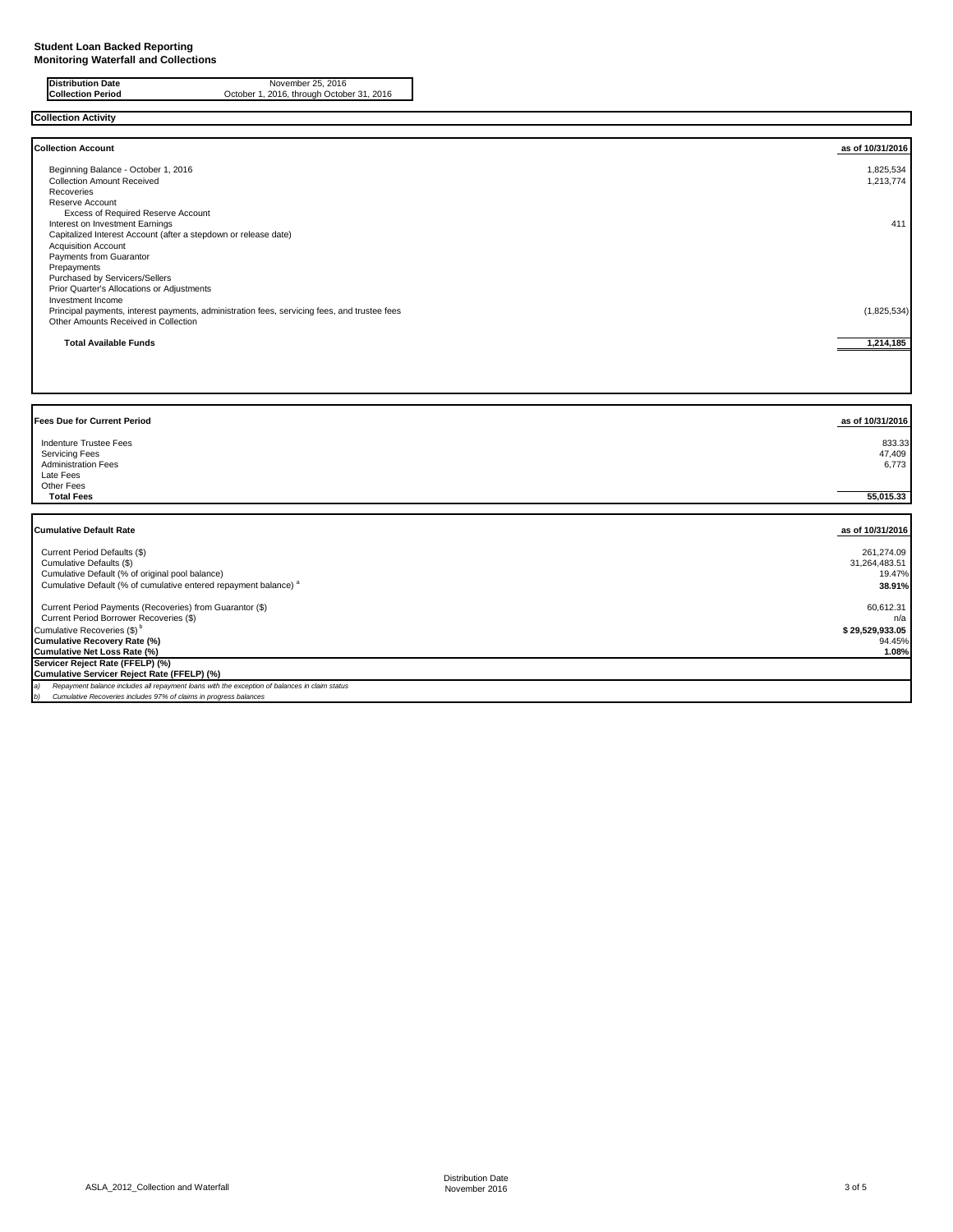| <b>Distribution Date</b> | November 25, 2016                         |
|--------------------------|-------------------------------------------|
| <b>Collection Period</b> | October 1, 2016, through October 31, 2016 |
|                          |                                           |

| <b>Collection Activity</b>                                                                          |                  |
|-----------------------------------------------------------------------------------------------------|------------------|
|                                                                                                     |                  |
| <b>Collection Account</b>                                                                           | as of 10/31/2016 |
| Beginning Balance - October 1, 2016                                                                 | 1,825,534        |
| <b>Collection Amount Received</b>                                                                   | 1,213,774        |
| Recoveries                                                                                          |                  |
| Reserve Account                                                                                     |                  |
| Excess of Required Reserve Account                                                                  |                  |
| Interest on Investment Earnings                                                                     | 411              |
| Capitalized Interest Account (after a stepdown or release date)                                     |                  |
| <b>Acquisition Account</b>                                                                          |                  |
| Payments from Guarantor                                                                             |                  |
| Prepayments                                                                                         |                  |
| Purchased by Servicers/Sellers<br>Prior Quarter's Allocations or Adjustments                        |                  |
| Investment Income                                                                                   |                  |
| Principal payments, interest payments, administration fees, servicing fees, and trustee fees        | (1,825,534)      |
| Other Amounts Received in Collection                                                                |                  |
|                                                                                                     |                  |
| <b>Total Available Funds</b>                                                                        | 1,214,185        |
|                                                                                                     |                  |
|                                                                                                     |                  |
|                                                                                                     |                  |
|                                                                                                     |                  |
|                                                                                                     |                  |
|                                                                                                     |                  |
|                                                                                                     |                  |
| <b>Fees Due for Current Period</b>                                                                  | as of 10/31/2016 |
|                                                                                                     |                  |
| Indenture Trustee Fees                                                                              | 833.33           |
| <b>Servicing Fees</b>                                                                               | 47,409           |
| <b>Administration Fees</b><br>Late Fees                                                             | 6,773            |
| Other Fees                                                                                          |                  |
| <b>Total Fees</b>                                                                                   | 55,015.33        |
|                                                                                                     |                  |
|                                                                                                     |                  |
| <b>Cumulative Default Rate</b>                                                                      | as of 10/31/2016 |
|                                                                                                     |                  |
| Current Period Defaults (\$)                                                                        | 261,274.09       |
| Cumulative Defaults (\$)                                                                            | 31,264,483.51    |
| Cumulative Default (% of original pool balance)                                                     | 19.47%           |
| Cumulative Default (% of cumulative entered repayment balance) <sup>a</sup>                         | 38.91%           |
|                                                                                                     |                  |
| Current Period Payments (Recoveries) from Guarantor (\$)                                            | 60,612.31        |
| Current Period Borrower Recoveries (\$)                                                             | n/a              |
| Cumulative Recoveries (\$) <sup>b</sup>                                                             | \$29,529,933.05  |
| <b>Cumulative Recovery Rate (%)</b>                                                                 | 94.45%<br>1.08%  |
| Cumulative Net Loss Rate (%)                                                                        |                  |
| Servicer Reject Rate (FFELP) (%)<br>Cumulative Servicer Reject Rate (FFELP) (%)                     |                  |
| a)<br>Repayment balance includes all repayment loans with the exception of balances in claim status |                  |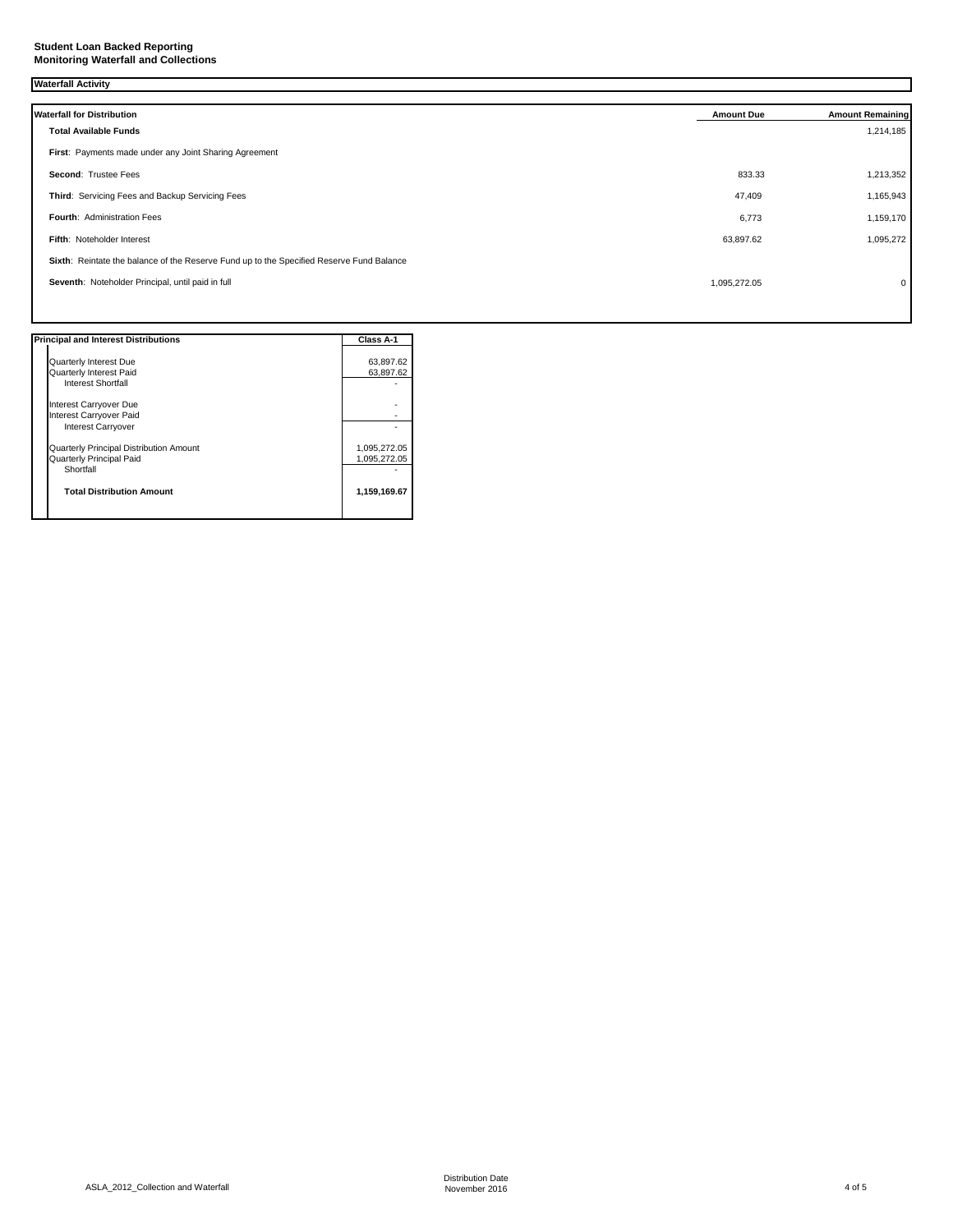### **Waterfall Activity**

| <b>Waterfall for Distribution</b>                                                        | <b>Amount Due</b> | <b>Amount Remaining</b> |
|------------------------------------------------------------------------------------------|-------------------|-------------------------|
| <b>Total Available Funds</b>                                                             |                   | 1,214,185               |
| First: Payments made under any Joint Sharing Agreement                                   |                   |                         |
| Second: Trustee Fees                                                                     | 833.33            | 1,213,352               |
| Third: Servicing Fees and Backup Servicing Fees                                          | 47,409            | 1,165,943               |
| <b>Fourth: Administration Fees</b>                                                       | 6,773             | 1,159,170               |
| Fifth: Noteholder Interest                                                               | 63,897.62         | 1,095,272               |
| Sixth: Reintate the balance of the Reserve Fund up to the Specified Reserve Fund Balance |                   |                         |
| Seventh: Noteholder Principal, until paid in full                                        | 1,095,272.05      | $\mathbf{0}$            |
|                                                                                          |                   |                         |

| <b>Principal and Interest Distributions</b> | Class A-1    |
|---------------------------------------------|--------------|
| Quarterly Interest Due                      | 63.897.62    |
| Quarterly Interest Paid                     | 63.897.62    |
| Interest Shortfall                          |              |
| Interest Carryover Due                      |              |
| Interest Carryover Paid                     |              |
| <b>Interest Carryover</b>                   |              |
| Quarterly Principal Distribution Amount     | 1,095,272.05 |
| Quarterly Principal Paid                    | 1,095,272.05 |
| Shortfall                                   |              |
| <b>Total Distribution Amount</b>            | 1,159,169.67 |
|                                             |              |